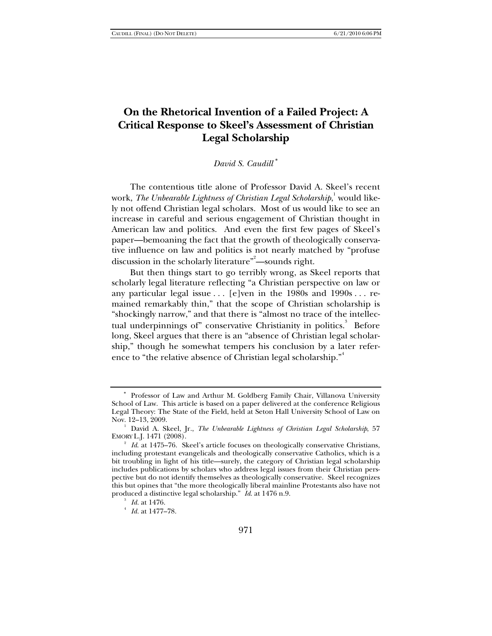# **On the Rhetorical Invention of a Failed Project: A Critical Response to Skeel's Assessment of Christian Legal Scholarship**

# *David S. Caudill* <sup>∗</sup>

The contentious title alone of Professor David A. Skeel's recent work, *The Unbearable Lightness of Christian Legal Scholarship,* <sup>1</sup> would likely not offend Christian legal scholars. Most of us would like to see an increase in careful and serious engagement of Christian thought in American law and politics. And even the first few pages of Skeel's paper—bemoaning the fact that the growth of theologically conservative influence on law and politics is not nearly matched by "profuse discussion in the scholarly literature"<sup>2</sup>—sounds right.

But then things start to go terribly wrong, as Skeel reports that scholarly legal literature reflecting "a Christian perspective on law or any particular legal issue  $\ldots$  [e]ven in the 1980s and 1990s  $\ldots$  remained remarkably thin," that the scope of Christian scholarship is "shockingly narrow," and that there is "almost no trace of the intellectual underpinnings of" conservative Christianity in politics.<sup>3</sup> Before long, Skeel argues that there is an "absence of Christian legal scholarship," though he somewhat tempers his conclusion by a later reference to "the relative absence of Christian legal scholarship."<sup>4</sup>

<sup>∗</sup> Professor of Law and Arthur M. Goldberg Family Chair, Villanova University School of Law. This article is based on a paper delivered at the conference Religious Legal Theory: The State of the Field, held at Seton Hall University School of Law on Nov. 12-13, 2009.

David A. Skeel, Jr., *The Unbearable Lightness of Christian Legal Scholarship*, 57 EMORY L.J. 1471 (2008). 2

<sup>&</sup>lt;sup>2</sup> Id. at 1475–76. Skeel's article focuses on theologically conservative Christians, including protestant evangelicals and theologically conservative Catholics, which is a bit troubling in light of his title—surely, the category of Christian legal scholarship includes publications by scholars who address legal issues from their Christian perspective but do not identify themselves as theologically conservative. Skeel recognizes this but opines that "the more theologically liberal mainline Protestants also have not produced a distinctive legal scholarship." *Id.* at 1476 n.9.

 $^3$  *Id.* at 1476.

*Id.* at 1477–78.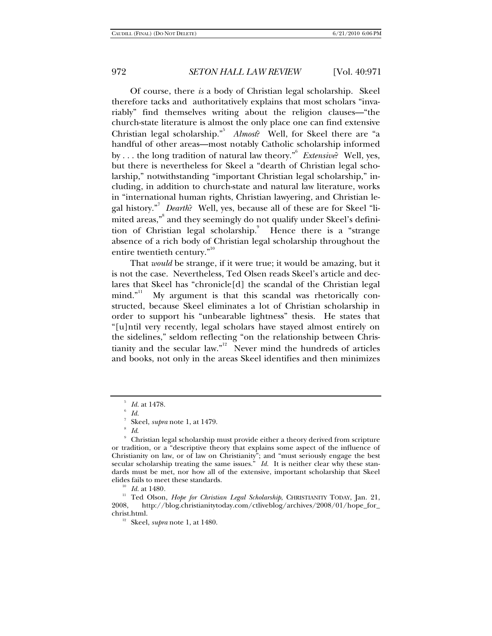Of course, there *is* a body of Christian legal scholarship. Skeel therefore tacks and authoritatively explains that most scholars "invariably" find themselves writing about the religion clauses—"the church-state literature is almost the only place one can find extensive Christian legal scholarship."<sup>5</sup> *Almost*? Well, for Skeel there are "a handful of other areas—most notably Catholic scholarship informed by . . . the long tradition of natural law theory."6 *Extensive*? Well, yes, but there is nevertheless for Skeel a "dearth of Christian legal scholarship," notwithstanding "important Christian legal scholarship," including, in addition to church-state and natural law literature, works in "international human rights, Christian lawyering, and Christian legal history."<sup>7</sup> *Dearth*? Well, yes, because all of these are for Skeel "limited areas," and they seemingly do not qualify under Skeel's definition of Christian legal scholarship.<sup>9</sup> Hence there is a "strange absence of a rich body of Christian legal scholarship throughout the entire twentieth century."<sup>10</sup>

That *would* be strange, if it were true; it would be amazing, but it is not the case. Nevertheless, Ted Olsen reads Skeel's article and declares that Skeel has "chronicle[d] the scandal of the Christian legal  $\text{mind.}^{311}$  My argument is that this scandal was rhetorically constructed, because Skeel eliminates a lot of Christian scholarship in order to support his "unbearable lightness" thesis. He states that "[u]ntil very recently, legal scholars have stayed almost entirely on the sidelines," seldom reflecting "on the relationship between Christianity and the secular law."<sup>12</sup> Never mind the hundreds of articles and books, not only in the areas Skeel identifies and then minimizes

<sup>11</sup> Ted Olson, *Hope for Christian Legal Scholarship*, CHRISTIANITY TODAY, Jan. 21, 2008. http://blog.christianitytoday.com/ctliveblog/archives/2008/01/hope for 2008, http://blog.christianitytoday.com/ctliveblog/archives/2008/01/hope\_for\_ christ.html. 12 Skeel, *supra* note 1, at 1480.

<sup>5</sup> *Id.* at 1478.

*Id.* 

Skeel, *supra* note 1, at 1479.

*Id*. 9

Christian legal scholarship must provide either a theory derived from scripture or tradition, or a "descriptive theory that explains some aspect of the influence of Christianity on law, or of law on Christianity"; and "must seriously engage the best secular scholarship treating the same issues." *Id.* It is neither clear why these standards must be met, nor how all of the extensive, important scholarship that Skeel elides fails to meet these standards. 10 *Id.* at 1480*.*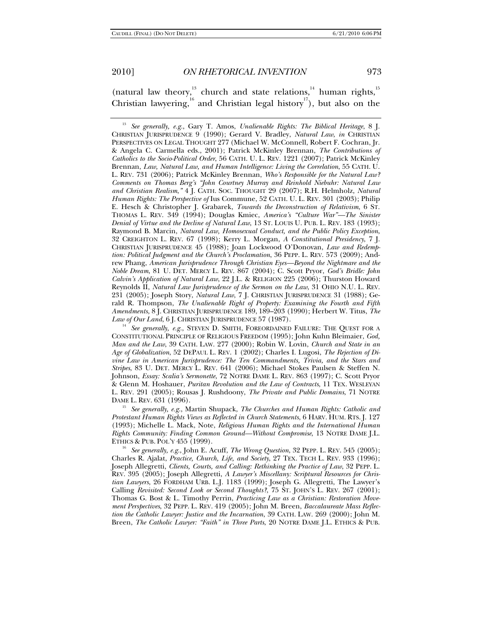(natural law theory, $13$  church and state relations, $14$  human rights, $15$ Christian lawyering,<sup>16</sup> and Christian legal history<sup>17</sup>), but also on the

<sup>14</sup> See generally, e.g., STEVEN D. SMITH, FOREORDAINED FAILURE: THE QUEST FOR A CONSTITUTIONAL PRINCIPLE OF RELIGIOUS FREEDOM (1995); John Kuhn Bleimaier, *God, Man and the Law*, 39 CATH. LAW. 277 (2000); Robin W. Lovin, *Church and State in an Age of Globalization*, 52 DEPAUL L. REV. 1 (2002); Charles I. Lugosi, *The Rejection of Divine Law in American Jurisprudence: The Ten Commandments, Trivia, and the Stars and Stripes*, 83 U. DET. MERCY L. REV. 641 (2006); Michael Stokes Paulsen & Steffen N. Johnson, *Essay: Scalia's Sermonette*, 72 NOTRE DAME L. REV. 863 (1997); C. Scott Pryor & Glenn M. Hoshauer, *Puritan Revolution and the Law of Contracts*, 11 TEX. WESLEYAN L. REV. 291 (2005); Rousas J. Rushdoony, *The Private and Public Domains*, 71 NOTRE DAME L. REV. 631 (1996).<br><sup>15</sup> See generally, e.g., Martin Shupack, *The Churches and Human Rights: Catholic and* 

*Protestant Human Rights Views as Reflected in Church Statements*, 6 HARV. HUM. RTS. J. 127 (1993); Michelle L. Mack, Note, *Religious Human Rights and the International Human Rights Community: Finding Common Ground—Without Compromise*, 13 NOTRE DAME J.L.

<sup>16</sup> See generally, e.g., John E. Acuff, *The Wrong Question*, 32 PEPP. L. REV. 545 (2005); Charles R. Ajalat, *Practice, Church, Life, and Society*, 27 TEX. TECH L. REV. 933 (1996); Joseph Allegretti, *Clients, Courts, and Calling: Rethinking the Practice of Law*, 32 PEPP. L. REV. 395 (2005); Joseph Allegretti, *A Lawyer's Miscellany: Scriptural Resources for Christian Lawyers*, 26 FORDHAM URB. L.J. 1183 (1999); Joseph G. Allegretti, The Lawyer's Calling *Revisited: Second Look or Second Thoughts?*, 75 ST. JOHN'S L. REV. 267 (2001); Thomas G. Bost & L. Timothy Perrin, *Practicing Law as a Christian: Restoration Movement Perspectives*, 32 PEPP. L. REV. 419 (2005); John M. Breen, *Baccalaureate Mass Reflection the Catholic Lawyer: Justice and the Incarnation*, 39 CATH. LAW. 269 (2000); John M. Breen, *The Catholic Lawyer: "Faith" in Three Parts*, 20 NOTRE DAME J.L. ETHICS & PUB.

<sup>13</sup> *See generally, e.g.*, Gary T. Amos, *Unalienable Rights: The Biblical Heritage*, 8 J. CHRISTIAN JURISPRUDENCE 9 (1990); Gerard V. Bradley, *Natural Law*, *in* CHRISTIAN PERSPECTIVES ON LEGAL THOUGHT 277 (Michael W. McConnell, Robert F. Cochran, Jr. & Angela C. Carmella eds., 2001); Patrick McKinley Brennan, *The Contributions of Catholics to the Socio-Political Order*, 56 CATH. U. L. REV. 1221 (2007); Patrick McKinley Brennan, *Law, Natural Law, and Human Intelligence: Living the Correlation*, 55 CATH. U. L. REV. 731 (2006); Patrick McKinley Brennan, *Who's Responsible for the Natural Law? Comments on Thomas Berg's "John Courtney Murray and Reinhold Niebuhr: Natural Law and Christian Realism*,*"* 4 J. CATH. SOC. THOUGHT 29 (2007); R.H. Helmholz, *Natural Human Rights: The Perspective of* Ius Commune, 52 CATH. U. L. REV. 301 (2003); Philip E. Hesch & Christopher J. Grabarek, *Towards the Deconstruction of Relativism*, 6 ST. THOMAS L. REV. 349 (1994); Douglas Kmiec, *America's "Culture War"—The Sinister Denial of Virtue and the Decline of Natural Law*, 13 ST. LOUIS U. PUB. L. REV. 183 (1993); Raymond B. Marcin, *Natural Law, Homosexual Conduct, and the Public Policy Exception*, 32 CREIGHTON L. REV. 67 (1998); Kerry L. Morgan, *A Constitutional Presidency*, 7 J. CHRISTIAN JURISPRUDENCE 45 (1988); Joan Lockwood O'Donovan, *Law and Redemption: Political Judgment and the Church's Proclamation*, 36 PEPP. L. REV. 573 (2009); Andrew Phang, *American Jurisprudence Through Christian Eyes—Beyond the Nightmare and the Noble Dream*, 81 U. DET. MERCY L. REV. 867 (2004); C. Scott Pryor, *God's Bridle: John Calvin's Application of Natural Law*, 22 J.L. & RELIGION 225 (2006); Thurston Howard Reynolds II, *Natural Law Jurisprudence of the Sermon on the Law*, 31 OHIO N.U. L. REV. 231 (2005); Joseph Story, *Natural Law*, 7 J. CHRISTIAN JURISPRUDENCE 31 (1988); Gerald R. Thompson, *The Unalienable Right of Property: Examining the Fourth and Fifth Amendments*, 8 J. CHRISTIAN JURISPRUDENCE 189, 189–203 (1990); Herbert W. Titus, *The*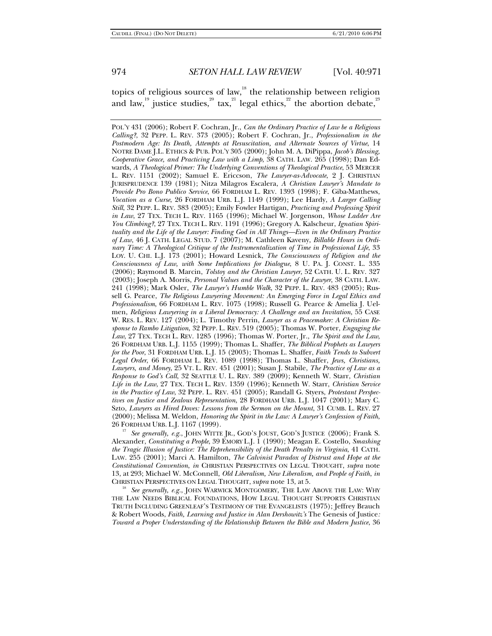topics of religious sources of law,<sup>18</sup> the relationship between religion and law, $^{^{19}}$  justice studies, $^{^{20}}$  tax, $^{^{21}}$  legal ethics, $^{^{22}}$  the abortion debate, $^{^{23}}$ 

POL'Y 431 (2006); Robert F. Cochran, Jr., *Can the Ordinary Practice of Law be a Religious Calling?*, 32 PEPP. L. REV. 373 (2005); Robert F. Cochran, Jr., *Professionalism in the Postmodern Age: Its Death, Attempts at Resuscitation, and Alternate Sources of Virtue*, 14 NOTRE DAME J.L. ETHICS & PUB. POL'Y 305 (2000); John M. A. DiPippa, *Jacob's Blessing, Cooperative Grace, and Practicing Law with a Limp*, 38 CATH. LAW. 265 (1998); Dan Edwards, *A Theological Primer: The Underlying Conventions of Theological Practice*, 53 MERCER L. REV. 1151 (2002); Samuel E. Ericcson, *The Lawyer-as-Advocate*, 2 J. CHRISTIAN JURISPRUDENCE 139 (1981); Nitza Milagros Escalera, *A Christian Lawyer's Mandate to Provide Pro Bono Publico Service*, 66 FORDHAM L. REV. 1393 (1998); F. Giba-Matthews, *Vocation as a Curse*, 26 FORDHAM URB. L.J. 1149 (1999); Lee Hardy, *A Larger Calling Still*, 32 PEPP. L. REV. 383 (2005); Emily Fowler Hartigan, *Practicing and Professing Spirit in Law*, 27 TEX. TECH L. REV. 1165 (1996); Michael W. Jorgenson, *Whose Ladder Are You Climbing?*, 27 TEX. TECH L. REV. 1191 (1996); Gregory A. Kalscheur, *Ignatian Spirituality and the Life of the Lawyer: Finding God in All Things—Even in the Ordinary Practice of Law*, 46 J. CATH. LEGAL STUD. 7 (2007); M. Cathleen Kaveny, *Billable Hours in Ordinary Time: A Theological Critique of the Instrumentalization of Time in Professional Life*, 33 LOY. U. CHI. L.J. 173 (2001); Howard Lesnick, *The Consciousness of Religion and the Consciousness of Law, with Some Implications for Dialogue*, 8 U. PA. J. CONST. L. 335 (2006); Raymond B. Marcin, *Tolstoy and the Christian Lawyer*, 52 CATH. U. L. REV. 327 (2003); Joseph A. Morris, *Personal Values and the Character of the Lawyer*, 38 CATH. LAW. 241 (1998); Mark Osler, *The Lawyer's Humble Walk*, 32 PEPP. L. REV. 483 (2005); Russell G. Pearce, *The Religious Lawyering Movement: An Emerging Force in Legal Ethics and Professionalism*, 66 FORDHAM L. REV. 1075 (1998); Russell G. Pearce & Amelia J. Uelmen, *Religious Lawyering in a Liberal Democracy: A Challenge and an Invitation*, 55 CASE W. RES. L. REV. 127 (2004); L. Timothy Perrin, *Lawyer as a Peacemaker: A Christian Response to Rambo Litigation*, 32 PEPP. L. REV. 519 (2005); Thomas W. Porter, *Engaging the Law*, 27 TEX. TECH L. REV. 1285 (1996); Thomas W. Porter, Jr., *The Spirit and the Law*, 26 FORDHAM URB. L.J. 1155 (1999); Thomas L. Shaffer, *The Biblical Prophets as Lawyers for the Poor*, 31 FORDHAM URB. L.J. 15 (2003); Thomas L. Shaffer, *Faith Tends to Subvert Legal Order*, 66 FORDHAM L. REV. 1089 (1998); Thomas L. Shaffer, *Jews, Christians, Lawyers, and Money*, 25 VT. L. REV. 451 (2001); Susan J. Stabile, *The Practice of Law as a Response to God's Call*, 32 SEATTLE U. L. REV. 389 (2009); Kenneth W. Starr, *Christian Life in the Law*, 27 TEX. TECH L. REV. 1359 (1996); Kenneth W. Starr, *Christian Service in the Practice of Law*, 32 PEPP. L. REV. 451 (2005); Randall G. Styers, *Protestant Perspectives on Justice and Zealous Representation*, 28 FORDHAM URB. L.J. 1047 (2001); Mary C. Szto, *Lawyers as Hired Doves: Lessons from the Sermon on the Mount*, 31 CUMB. L. REV. 27 (2000); Melissa M. Weldon, *Honoring the Spirit in the Law: A Lawyer's Confession of Faith*,

<sup>17</sup> See generally, e.g., JOHN WITTE JR., GOD'S JOUST, GOD'S JUSTICE (2006); Frank S. Alexander, *Constituting a People*, 39 EMORY L.J. 1 (1990); Meagan E. Costello, *Smashing the Tragic Illusion of Justice: The Reprehensibility of the Death Penalty in Virginia*, 41 CATH. LAW. 255 (2001); Marci A. Hamilton, *The Calvinist Paradox of Distrust and Hope at the Constitutional Convention*, *in* CHRISTIAN PERSPECTIVES ON LEGAL THOUGHT, *supra* note 13, at 293; Michael W. McConnell, *Old Liberalism, New Liberalism, and People of Faith*, *in* 

See generally, e.g., JOHN WARWICK MONTGOMERY, THE LAW ABOVE THE LAW: WHY THE LAW NEEDS BIBLICAL FOUNDATIONS, HOW LEGAL THOUGHT SUPPORTS CHRISTIAN TRUTH INCLUDING GREENLEAF'S TESTIMONY OF THE EVANGELISTS (1975); Jeffrey Brauch & Robert Woods, *Faith, Learning and Justice in Alan Dershowitz's* The Genesis of Justice*: Toward a Proper Understanding of the Relationship Between the Bible and Modern Justice*, 36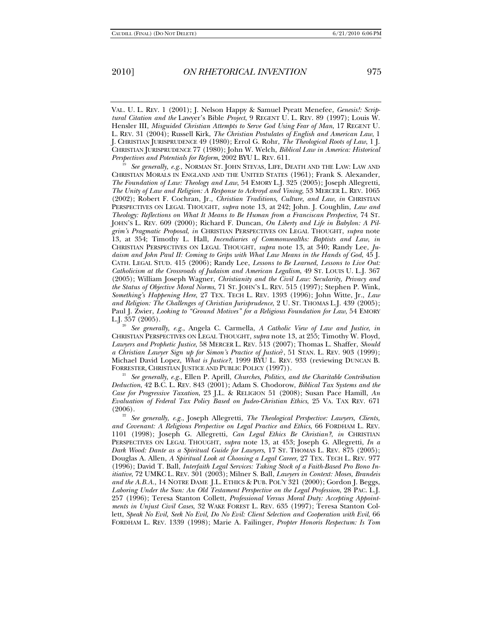VAL. U. L. REV. 1 (2001); J. Nelson Happy & Samuel Pyeatt Menefee, *Genesis!: Scriptural Citation and the* Lawyer's Bible *Project*, 9 REGENT U. L. REV. 89 (1997); Louis W. Hensler III, *Misguided Christian Attempts to Serve God Using Fear of Man*, 17 REGENT U. L. REV. 31 (2004); Russell Kirk, *The Christian Postulates of English and American Law*, 1 J. CHRISTIAN JURISPRUDENCE 49 (1980); Errol G. Rohr, *The Theological Roots of Law*, 1 J. CHRISTIAN JURISPRUDENCE 77 (1980); John W. Welch, *Biblical Law in America: Historical* 

*See generally, e.g., NORMAN ST. JOHN STEVAS, LIFE, DEATH AND THE LAW: LAW AND* CHRISTIAN MORALS IN ENGLAND AND THE UNITED STATES (1961); Frank S. Alexander, *The Foundation of Law: Theology and Law*, 54 EMORY L.J. 325 (2005); Joseph Allegretti, *The Unity of Law and Religion: A Response to Ackroyd and Vining*, 53 MERCER L. REV. 1065 (2002); Robert F. Cochran, Jr., *Christian Traditions, Culture, and Law*, *in* CHRISTIAN PERSPECTIVES ON LEGAL THOUGHT, *supra* note 13, at 242; John. J. Coughlin, *Law and Theology: Reflections on What It Means to Be Human from a Franciscan Perspective*, 74 ST. JOHN'S L. REV. 609 (2000); Richard F. Duncan, *On Liberty and Life in Babylon: A Pilgrim's Pragmatic Proposal*, *in* CHRISTIAN PERSPECTIVES ON LEGAL THOUGHT, *supra* note 13, at 354; Timothy L. Hall, *Incendiaries of Commonwealths: Baptists and Law*, *in* CHRISTIAN PERSPECTIVES ON LEGAL THOUGHT, *supra* note 13, at 340; Randy Lee, *Judaism and John Paul II: Coming to Grips with What Law Means in the Hands of God*, 45 J. CATH. LEGAL STUD. 415 (2006); Randy Lee, *Lessons to Be Learned, Lessons to Live Out: Catholicism at the Crossroads of Judaism and American Legalism*, 49 ST. LOUIS U. L.J. 367 (2005); William Joseph Wagner, *Christianity and the Civil Law: Secularity, Privacy and the Status of Objective Moral Norms*, 71 ST. JOHN'S L. REV. 515 (1997); Stephen P. Wink, *Something's Happening Here*, 27 TEX. TECH L. REV. 1393 (1996); John Witte, Jr., *Law and Religion: The Challenges of Christian Jurisprudence*, 2 U. ST. THOMAS L.J. 439 (2005); Paul J. Zwier, *Looking to "Ground Motives" for a Religious Foundation for Law*, 54 EMORY

L.J. 357 (2005). 20 *See generally, e.g.*, Angela C. Carmella, *A Catholic View of Law and Justice*, *in* CHRISTIAN PERSPECTIVES ON LEGAL THOUGHT, *supra* note 13, at 255; Timothy W. Floyd, *Lawyers and Prophetic Justice*, 58 MERCER L. REV. 513 (2007); Thomas L. Shaffer, *Should a Christian Lawyer Sign up for Simon's Practice of Justice*?, 51 STAN. L. REV. 903 (1999); Michael David Lopez, *What is Justice?*, 1999 BYU L. REV. 933 (reviewing DUNCAN B. FORRESTER, CHRISTIAN JUSTICE AND PUBLIC POLICY (1997)).

<sup>21</sup> *See generally, e.g.*, Ellen P. Aprill, *Churches, Politics, and the Charitable Contribution Deduction*, 42 B.C. L. REV. 843 (2001); Adam S. Chodorow, *Biblical Tax Systems and the Case for Progressive Taxation*, 23 J.L. & RELIGION 51 (2008); Susan Pace Hamill, *An Evaluation of Federal Tax Policy Based on Judeo-Christian Ethics*, 25 VA. TAX REV. 671

(2006). 22 *See generally, e.g.*, Joseph Allegretti, *The Theological Perspective: Lawyers, Clients, and Covenant: A Religious Perspective on Legal Practice and Ethics*, 66 FORDHAM L. REV. 1101 (1998); Joseph G. Allegretti, *Can Legal Ethics Be Christian?*, *in* CHRISTIAN PERSPECTIVES ON LEGAL THOUGHT, *supra* note 13, at 453; Joseph G. Allegretti, *In a Dark Wood: Dante as a Spiritual Guide for Lawyers*, 17 ST. THOMAS L. REV. 875 (2005); Douglas A. Allen, *A Spiritual Look at Choosing a Legal Career*, 27 TEX. TECH L. REV. 977 (1996); David T. Ball, *Interfaith Legal Services: Taking Stock of a Faith-Based Pro Bono Initiative*, 72 UMKC L. REV. 301 (2003); Milner S. Ball, *Lawyers in Context: Moses, Brandeis and the A.B.A.*, 14 NOTRE DAME J.L. ETHICS & PUB. POL'Y 321 (2000); Gordon J. Beggs, *Laboring Under the Sun: An Old Testament Perspective on the Legal Profession*, 28 PAC. L.J. 257 (1996); Teresa Stanton Collett, *Professional Versus Moral Duty: Accepting Appointments in Unjust Civil Cases*, 32 WAKE FOREST L. REV. 635 (1997); Teresa Stanton Collett, *Speak No Evil, Seek No Evil, Do No Evil: Client Selection and Cooperation with Evil*, 66 FORDHAM L. REV. 1339 (1998); Marie A. Failinger, *Propter Honoris Respectum: Is Tom*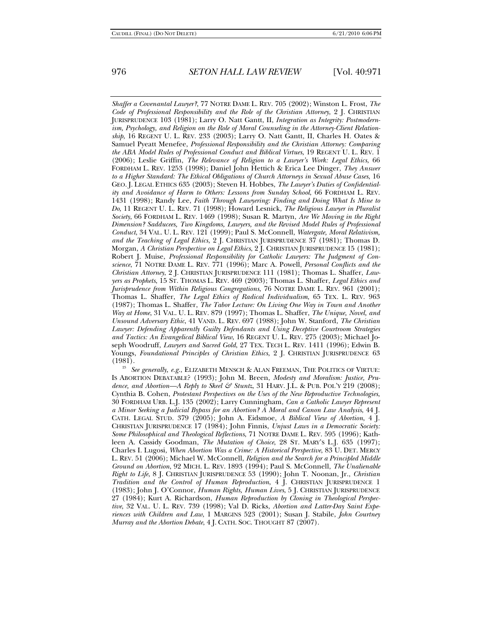*Shaffer a Covenantal Lawyer?*, 77 NOTRE DAME L. REV. 705 (2002); Winston L. Frost, *The Code of Professional Responsibility and the Role of the Christian Attorney*, 2 J. CHRISTIAN JURISPRUDENCE 103 (1981); Larry O. Natt Gantt, II, *Integration as Integrity: Postmodernism, Psychology, and Religion on the Role of Moral Counseling in the Attorney-Client Relationship*, 16 REGENT U. L. REV. 233 (2003); Larry O. Natt Gantt, II, Charles H. Oates & Samuel Pyeatt Menefee, *Professional Responsibility and the Christian Attorney: Comparing the ABA Model Rules of Professional Conduct and Biblical Virtues*, 19 REGENT U. L. REV. 1 (2006); Leslie Griffin, *The Relevance of Religion to a Lawyer's Work: Legal Ethics*, 66 FORDHAM L. REV. 1253 (1998); Daniel John Hettich & Erica Lee Dinger, *They Answer to a Higher Standard: The Ethical Obligations of Church Attorneys in Sexual Abuse Cases*, 16 GEO. J. LEGAL ETHICS 635 (2003); Steven H. Hobbes, *The Lawyer's Duties of Confidentiality and Avoidance of Harm to Others: Lessons from Sunday School*, 66 FORDHAM L. REV. 1431 (1998); Randy Lee, *Faith Through Lawyering: Finding and Doing What Is Mine to Do*, 11 REGENT U. L. REV. 71 (1998); Howard Lesnick, *The Religious Lawyer in Pluralist Society*, 66 FORDHAM L. REV. 1469 (1998); Susan R. Martyn, *Are We Moving in the Right Dimension? Sadducees, Two Kingdoms, Lawyers, and the Revised Model Rules of Professional Conduct*, 34 VAL. U. L. REV. 121 (1999); Paul S. McConnell, *Watergate, Moral Relativism, and the Teaching of Legal Ethics*, 2 J. CHRISTIAN JURISPRUDENCE 37 (1981); Thomas D. Morgan, *A Christian Perspective on Legal Ethics*, 2 J. CHRISTIAN JURISPRUDENCE 15 (1981); Robert J. Muise, *Professional Responsibility for Catholic Lawyers: The Judgment of Conscience*, 71 NOTRE DAME L. REV. 771 (1996); Marc A. Powell, *Personal Conflicts and the Christian Attorney*, 2 J. CHRISTIAN JURISPRUDENCE 111 (1981); Thomas L. Shaffer, *Lawyers as Prophets*, 15 ST. THOMAS L. REV. 469 (2003); Thomas L. Shaffer, *Legal Ethics and Jurisprudence from Within Religious Congregations*, 76 NOTRE DAME L. REV. 961 (2001); Thomas L. Shaffer, *The Legal Ethics of Radical Individualism*, 65 TEX. L. REV. 963 (1987); Thomas L. Shaffer, *The Tabor Lecture: On Living One Way in Town and Another Way at Home*, 31 VAL. U. L. REV. 879 (1997); Thomas L. Shaffer, *The Unique, Novel, and Unsound Adversary Ethic*, 41 VAND. L. REV. 697 (1988); John W. Stanford, *The Christian Lawyer: Defending Apparently Guilty Defendants and Using Deceptive Courtroom Strategies and Tactics: An Evangelical Biblical View*, 16 REGENT U. L. REV. 275 (2003); Michael Joseph Woodruff, *Lawyers and Sacred Gold*, 27 TEX. TECH L. REV. 1411 (1996); Edwin B. Youngs, *Foundational Principles of Christian Ethics*, 2 J. CHRISTIAN JURISPRUDENCE 63 (1981).

See generally, e.g., ELIZABETH MENSCH & ALAN FREEMAN, THE POLITICS OF VIRTUE: IS ABORTION DEBATABLE? (1993); John M. Breen, *Modesty and Moralism: Justice, Prudence, and Abortion—A Reply to Skeel & Stuntz*, 31 HARV. J.L. & PUB. POL'Y 219 (2008); Cynthia B. Cohen, *Protestant Perspectives on the Uses of the New Reproductive Technologies*, 30 FORDHAM URB. L.J. 135 (2002); Larry Cunningham, *Can a Catholic Lawyer Represent a Minor Seeking a Judicial Bypass for an Abortion? A Moral and Canon Law Analysis*, 44 J. CATH. LEGAL STUD. 379 (2005); John A. Eidsmoe, *A Biblical View of Abortion*, 4 J. CHRISTIAN JURISPRUDENCE 17 (1984); John Finnis, *Unjust Laws in a Democratic Society: Some Philosophical and Theological Reflections*, 71 NOTRE DAME L. REV. 595 (1996); Kathleen A. Cassidy Goodman, *The Mutation of Choice*, 28 ST. MARY'S L.J. 635 (1997); Charles I. Lugosi, *When Abortion Was a Crime: A Historical Perspective*, 83 U. DET. MERCY L. REV. 51 (2006); Michael W. McConnell, *Religion and the Search for a Principled Middle Ground on Abortion*, 92 MICH. L. REV. 1893 (1994); Paul S. McConnell, *The Unalienable Right to Life*, 8 J. CHRISTIAN JURISPRUDENCE 53 (1990); John T. Noonan, Jr., *Christian Tradition and the Control of Human Reproduction*, 4 J. CHRISTIAN JURISPRUDENCE 1 (1983); John J. O'Connor, *Human Rights, Human Lives*, 5 J. CHRISTIAN JURISPRUDENCE 27 (1984); Kurt A. Richardson, *Human Reproduction by Cloning in Theological Perspective*, 32 VAL. U. L. REV. 739 (1998); Val D. Ricks, *Abortion and Latter-Day Saint Experiences with Children and Law*, 1 MARGINS 523 (2001); Susan J. Stabile, *John Courtney Murray and the Abortion Debate*, 4 J. CATH. SOC. THOUGHT 87 (2007).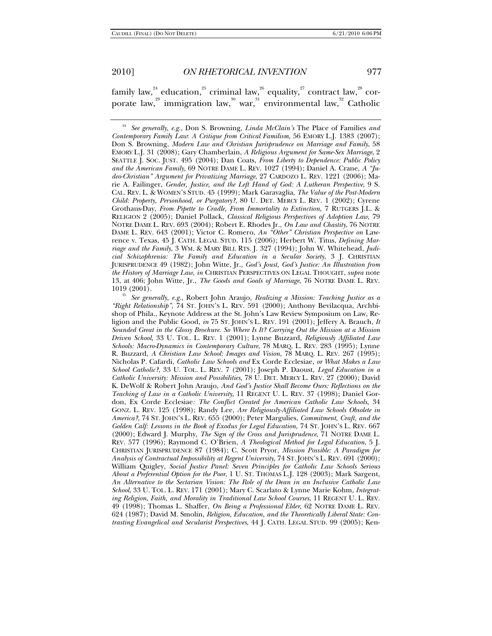family law, $^{^{24}}$  education, $^{^{25}}$  criminal law, $^{^{26}}$  equality, $^{^{27}}$  contract law, $^{^{28}}$  corporate law, $^{29}$  immigration law, $^{30}$  war, $^{31}$  environmental law, $^{32}$  Catholic

<sup>25</sup> See generally, e.g., Robert John Araujo, *Realizing a Mission: Teaching Justice as a "Right Relationship"*, 74 ST. JOHN'S L. REV. 591 (2000); Anthony Bevilacqua, Archbishop of Phila., Keynote Address at the St. John's Law Review Symposium on Law, Religion and the Public Good, *in* 75 ST. JOHN'S L. REV. 191 (2001); Jeffery A. Brauch, *It Sounded Great in the Glossy Brochure. So Where Is It? Carrying Out the Mission at a Mission Driven School*, 33 U. TOL. L. REV. 1 (2001); Lynne Buzzard, *Religiously Affiliated Law Schools: Macro-Dynamics in Contemporary Culture*, 78 MARQ. L. REV. 283 (1995); Lynne R. Buzzard, *A Christian Law School: Images and Vision*, 78 MARQ. L. REV. 267 (1995); Nicholas P. Cafardi, *Catholic Law Schools and* Ex Corde Ecclesiae*, or What Makes a Law School Catholic?*, 33 U. TOL. L. REV. 7 (2001); Joseph P. Daoust, *Legal Education in a Catholic University: Mission and Possibilities*, 78 U. DET. MERCY L. REV. 27 (2000); David K. DeWolf & Robert John Araujo, *And God's Justice Shall Become Ours: Reflections on the Teaching of Law in a Catholic University*, 11 REGENT U. L. REV. 37 (1998); Daniel Gordon, Ex Corde Ecclesiae*: The Conflict Created for American Catholic Law Schools*, 34 GONZ. L. REV. 125 (1998); Randy Lee, *Are Religiously-Affiliated Law Schools Obsolete in America?*, 74 ST. JOHN'S L. REV. 655 (2000); Peter Margulies, *Commitment, Craft, and the Golden Calf: Lessons in the Book of Exodus for Legal Education*, 74 ST. JOHN'S L. REV. 667 (2000); Edward J. Murphy, *The Sign of the Cross and Jurisprudence*, 71 NOTRE DAME L. REV. 577 (1996); Raymond C. O'Brien, *A Theological Method for Legal Education*, 5 J. CHRISTIAN JURISPRUDENCE 87 (1984); C. Scott Pryor, *Mission Possible: A Paradigm for Analysis of Contractual Impossibility at Regent University*, 74 ST. JOHN'S L. REV. 691 (2000); William Quigley, *Social Justice Panel: Seven Principles for Catholic Law Schools Serious About a Preferential Option for the Poor*, 1 U. ST. THOMAS L.J. 128 (2003); Mark Sargent, *An Alternative to the Sectarian Vision: The Role of the Dean in an Inclusive Catholic Law School*, 33 U. TOL. L. REV. 171 (2001); Mary C. Scarlato & Lynne Marie Kohm, *Integrating Religion, Faith, and Morality in Traditional Law School Courses*, 11 REGENT U. L. REV. 49 (1998); Thomas L. Shaffer, *On Being a Professional Elder*, 62 NOTRE DAME L. REV. 624 (1987); David M. Smolin, *Religion, Education, and the Theoretically Liberal State: Contrasting Evangelical and Secularist Perspectives*, 44 J. CATH. LEGAL STUD. 99 (2005); Ken-

<sup>24</sup> *See generally, e.g.*, Don S. Browning, *Linda McClain's* The Place of Families *and Contemporary Family Law*: *A Critique from Critical Familism*, 56 EMORY L.J. 1383 (2007); Don S. Browning, *Modern Law and Christian Jurisprudence on Marriage and Family*, 58 EMORY L.J. 31 (2008); Gary Chamberlain, *A Religious Argument for Same-Sex Marriage*, 2 SEATTLE J. SOC. JUST. 495 (2004); Dan Coats, *From Liberty to Dependence: Public Policy and the American Family*, 69 NOTRE DAME L. REV. 1027 (1994); Daniel A. Crane, *A "Judeo-Christian" Argument for Privatizing Marriage*, 27 CARDOZO L. REV. 1221 (2006); Marie A. Failinger, *Gender, Justice, and the Left Hand of God: A Lutheran Perspective*, 9 S. CAL. REV. L. & WOMEN'S STUD. 45 (1999); Mark Garavaglia, *The Value of the Post-Modern Child: Property, Personhood, or Purgatory?*, 80 U. DET. MERCY L. REV. 1 (2002); Cyrene Grothaus-Day, *From Pipette to Cradle, From Immortality to Extinction*, 7 RUTGERS J.L. & RELIGION 2 (2005); Daniel Pollack, *Classical Religious Perspectives of Adoption Law*, 79 NOTRE DAME L. REV. 693 (2004); Robert E. Rhodes Jr., *On Law and Chastity*, 76 NOTRE DAME L. REV. 643 (2001); Victor C. Romero, *An "Other" Christian Perspective on* Lawrence v. Texas, 45 J. CATH. LEGAL STUD. 115 (2006); Herbert W. Titus, *Defining Marriage and the Family*, 3 WM. & MARY BILL RTS. J. 327 (1994); John W. Whitehead, *Judicial Schizophrenia: The Family and Education in a Secular Society*, 3 J. CHRISTIAN JURISPRUDENCE 49 (1982); John Witte, Jr., *God's Joust, God's Justice: An Illustration from the History of Marriage Law*, *in* CHRISTIAN PERSPECTIVES ON LEGAL THOUGHT, *supra* note 13, at 406; John Witte, Jr., *The Goods and Goals of Marriage*, 76 NOTRE DAME L. REV.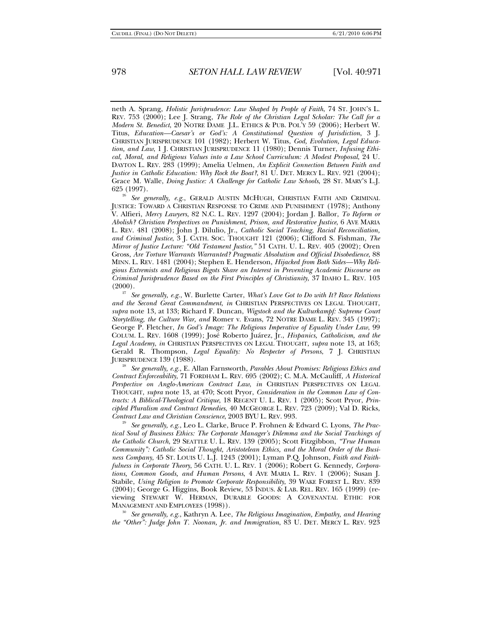neth A. Sprang, *Holistic Jurisprudence: Law Shaped by People of Faith*, 74 ST. JOHN'S L. REV. 753 (2000); Lee J. Strang, *The Role of the Christian Legal Scholar: The Call for a Modern St. Benedict*, 20 NOTRE DAME J.L. ETHICS & PUB. POL'Y 59 (2006); Herbert W. Titus, *Education—Caesar's or God's: A Constitutional Question of Jurisdiction*, 3 J. CHRISTIAN JURISPRUDENCE 101 (1982); Herbert W. Titus, *God, Evolution, Legal Education, and Law*, 1 J. CHRISTIAN JURISPRUDENCE 11 (1980); Dennis Turner, *Infusing Ethical, Moral, and Religious Values into a Law School Curriculum: A Modest Proposal*, 24 U. DAYTON L. REV. 283 (1999); Amelia Uelmen, *An Explicit Connection Between Faith and Justice in Catholic Education: Why Rock the Boat?*, 81 U. DET. MERCY L. REV. 921 (2004); Grace M. Walle, *Doing Justice: A Challenge for Catholic Law Schools*, 28 ST. MARY'S L.J.

<sup>26</sup> See generally, e.g., GERALD AUSTIN MCHUGH, CHRISTIAN FAITH AND CRIMINAL JUSTICE: TOWARD A CHRISTIAN RESPONSE TO CRIME AND PUNISHMENT (1978); Anthony V. Alfieri, *Mercy Lawyers*, 82 N.C. L. REV. 1297 (2004); Jordan J. Ballor, *To Reform or Abolish? Christian Perspectives on Punishment, Prison, and Restorative Justice*, 6 AVE MARIA L. REV. 481 (2008); John J. Dilulio, Jr., *Catholic Social Teaching, Racial Reconciliation, and Criminal Justice*, 3 J. CATH. SOC. THOUGHT 121 (2006); Clifford S. Fishman, *The Mirror of Justice Lecture: "Old Testament Justice*,*"* 51 CATH. U. L. REV. 405 (2002); Oren Gross, *Are Torture Warrants Warranted? Pragmatic Absolutism and Official Disobedience*, 88 MINN. L. REV. 1481 (2004); Stephen E. Henderson, *Hijacked from Both Sides—Why Religious Extremists and Religious Bigots Share an Interest in Preventing Academic Discourse on Criminal Jurisprudence Based on the First Principles of Christianity*, 37 IDAHO L. REV. 103

(2000). 27 *See generally, e.g.*, W. Burlette Carter, *What's Love Got to Do with It? Race Relations and the Second Great Commandment*, *in* CHRISTIAN PERSPECTIVES ON LEGAL THOUGHT, *supra* note 13, at 133; Richard F. Duncan, *Wigstock and the Kulturkampf: Supreme Court Storytelling, the Culture War, and* Romer v. Evans, 72 NOTRE DAME L. REV. 345 (1997); George P. Fletcher, *In God's Image: The Religious Imperative of Equality Under Law*, 99 COLUM. L. REV. 1608 (1999); José Roberto Juárez, Jr., *Hispanics, Catholicism, and the Legal Academy*, *in* CHRISTIAN PERSPECTIVES ON LEGAL THOUGHT, *supra* note 13, at 163; Gerald R. Thompson, *Legal Equality: No Respecter of Persons*, 7 J. CHRISTIAN JURISPRUDENCE 139 (1988). 28 *See generally, e.g.*, E. Allan Farnsworth, *Parables About Promises: Religious Ethics and* 

*Contract Enforceability*, 71 FORDHAM L. REV. 695 (2002); C. M.A. McCauliff, *A Historical Perspective on Anglo-American Contract Law*, *in* CHRISTIAN PERSPECTIVES ON LEGAL THOUGHT, *supra* note 13, at 470; Scott Pryor, *Consideration in the Common Law of Contracts: A Biblical-Theological Critique*, 18 REGENT U. L. REV. 1 (2005); Scott Pryor, *Principled Pluralism and Contract Remedies*, 40 MCGEORGE L. REV. 723 (2009); Val D. Ricks,

*Contract Law and Christian Conscience*, 2003 BYU L. REV. 993. 29 *See generally, e.g.*, Leo L. Clarke, Bruce P. Frohnen & Edward C. Lyons, *The Practical Soul of Business Ethics: The Corporate Manager's Dilemma and the Social Teachings of the Catholic Church*, 29 SEATTLE U. L. REV. 139 (2005); Scott Fitzgibbon, *"True Human Community": Catholic Social Thought, Aristotelean Ethics, and the Moral Order of the Business Company*, 45 ST. LOUIS U. L.J. 1243 (2001); Lyman P.Q. Johnson, *Faith and Faithfulness in Corporate Theory*, 56 CATH. U. L. REV. 1 (2006); Robert G. Kennedy, *Corporations, Common Goods, and Human Persons*, 4 AVE MARIA L. REV. 1 (2006); Susan J. Stabile, *Using Religion to Promote Corporate Responsibility*, 39 WAKE FOREST L. REV. 839 (2004); George G. Higgins, Book Review, 53 INDUS. & LAB. REL. REV. 165 (1999) (reviewing STEWART W. HERMAN, DURABLE GOODS: A COVENANTAL ETHIC FOR MANAGEMENT AND EMPLOYEES (1998)). 30 *See generally, e.g.*, Kathryn A. Lee, *The Religious Imagination, Empathy, and Hearing* 

*the "Other": Judge John T. Noonan, Jr. and Immigration*, 83 U. DET. MERCY L. REV. 923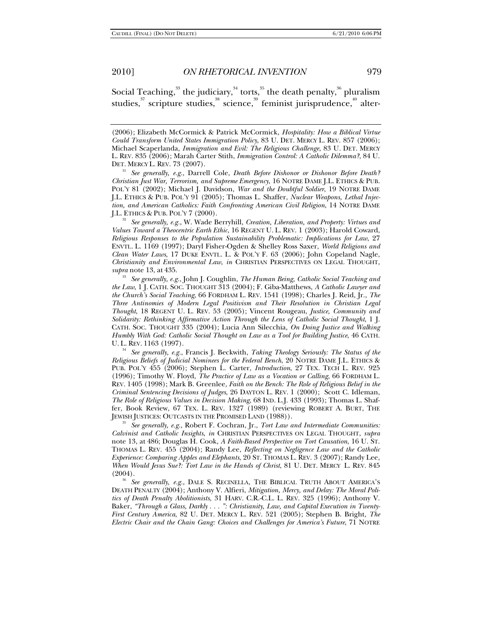Social Teaching, $^{\textrm{33}}$  the judiciary, $^{\textrm{34}}$  torts, $^{\textrm{35}}$  the death penalty, $^{\textrm{36}}$  pluralism studies, $37$  scripture studies, $38$  science, $39$  feminist jurisprudence,  $40$  alter-

DET. MERCY L. REV. 73 (2007). 31 *See generally, e.g.*, Darrell Cole, *Death Before Dishonor or Dishonor Before Death? Christian Just War, Terrorism, and Supreme Emergency*, 16 NOTRE DAME J.L. ETHICS & PUB. POL'Y 81 (2002); Michael J. Davidson, *War and the Doubtful Soldier*, 19 NOTRE DAME J.L. ETHICS & PUB. POL'Y 91 (2005); Thomas L. Shaffer, *Nuclear Weapons, Lethal Injection, and American Catholics: Faith Confronting American Civil Religion*, 14 NOTRE DAME

<sup>32</sup> See generally, e.g., W. Wade Berryhill, *Creation, Liberation, and Property: Virtues and Values Toward a Theocentric Earth Ethic*, 16 REGENT U. L. REV. 1 (2003); Harold Coward, *Religious Responses to the Population Sustainability Problematic: Implications for Law*, 27 ENVTL. L. 1169 (1997); Daryl Fisher-Ogden & Shelley Ross Saxer, *World Religions and Clean Water Laws*, 17 DUKE ENVTL. L. & POL'Y F. 63 (2006); John Copeland Nagle, *Christianity and Environmental Law*, *in* CHRISTIAN PERSPECTIVES ON LEGAL THOUGHT, *supra* note 13, at 435. 33 *See generally, e.g.*, John J. Coughlin, *The Human Being, Catholic Social Teaching and* 

*the Law*, 1 J. CATH. SOC. THOUGHT 313 (2004); F. Giba-Matthews, *A Catholic Lawyer and the Church's Social Teaching*, 66 FORDHAM L. REV. 1541 (1998); Charles J. Reid, Jr., *The Three Antinomies of Modern Legal Positivism and Their Resolution in Christian Legal Thought*, 18 REGENT U. L. REV. 53 (2005); Vincent Rougeau, *Justice, Community and Solidarity: Rethinking Affirmative Action Through the Lens of Catholic Social Thought*, 1 J. CATH. SOC. THOUGHT 335 (2004); Lucia Ann Silecchia, *On Doing Justice and Walking Humbly With God: Catholic Social Thought on Law as a Tool for Building Justice*, 46 CATH.<br>U.L. REV. 1163 (1997).

<sup>34</sup> See generally, e.g., Francis J. Beckwith, *Taking Theology Seriously: The Status of the Religious Beliefs of Judicial Nominees for the Federal Bench*, 20 NOTRE DAME J.L. ETHICS & PUB. POL'Y 455 (2006); Stephen L. Carter, *Introduction*, 27 TEX. TECH L. REV. 925 (1996); Timothy W. Floyd, *The Practice of Law as a Vocation or Calling*, 66 FORDHAM L. REV. 1405 (1998); Mark B. Greenlee, *Faith on the Bench: The Role of Religious Belief in the Criminal Sentencing Decisions of Judges*, 26 DAYTON L. REV. 1 (2000); Scott C. Idleman, *The Role of Religious Values in Decision Making*, 68 IND. L.J. 433 (1993); Thomas L. Shaffer, Book Review, 67 TEX. L. REV. 1327 (1989) (reviewing ROBERT A. BURT, THE JEWISH JUSTICES: OUTCASTS IN THE PROMISED LAND (1988)). 35 *See generally, e.g.*, Robert F. Cochran, Jr., *Tort Law and Intermediate Communities:* 

*Calvinist and Catholic Insights*, *in* CHRISTIAN PERSPECTIVES ON LEGAL THOUGHT, *supra* note 13, at 486; Douglas H. Cook, *A Faith-Based Perspective on Tort Causation*, 16 U. ST. THOMAS L. REV. 455 (2004); Randy Lee, *Reflecting on Negligence Law and the Catholic Experience: Comparing Apples and Elephants*, 20 ST. THOMAS L. REV. 3 (2007); Randy Lee, *When Would Jesus Sue?: Tort Law in the Hands of Christ*, 81 U. DET. MERCY L. REV. 845 (2004).

See generally, e.g., DALE S. RECINELLA, THE BIBLICAL TRUTH ABOUT AMERICA'S DEATH PENALTY (2004); Anthony V. Alfieri, *Mitigation, Mercy, and Delay: The Moral Politics of Death Penalty Abolitionists*, 31 HARV. C.R.-C.L. L. REV. 325 (1996); Anthony V. Baker, *"Through a Glass, Darkly . . . ": Christianity, Law, and Capital Execution in Twenty-First Century America*, 82 U. DET. MERCY L. REV. 521 (2005); Stephen B. Bright, *The Electric Chair and the Chain Gang: Choices and Challenges for America's Future*, 71 NOTRE

<sup>(2006);</sup> Elizabeth McCormick & Patrick McCormick, *Hospitality: How a Biblical Virtue Could Transform United States Immigration Policy*, 83 U. DET. MERCY L. REV. 857 (2006); Michael Scaperlanda, *Immigration and Evil: The Religious Challenge*, 83 U. DET. MERCY L. REV. 835 (2006); Marah Carter Stith, *Immigration Control: A Catholic Dilemma?*, 84 U.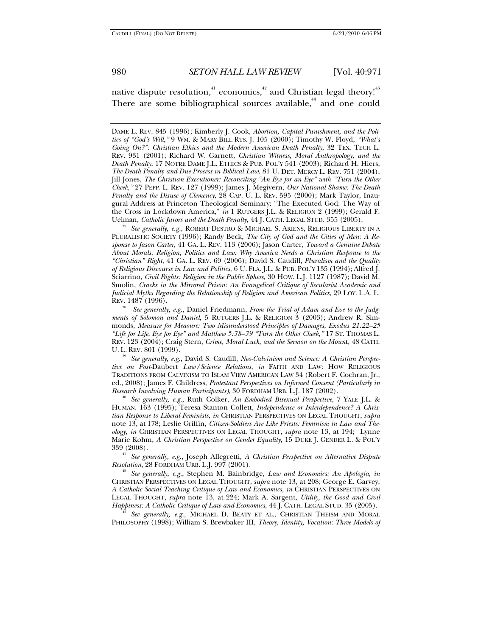native dispute resolution, $41$  economics, $42$  and Christian legal theory!<sup>43</sup> There are some bibliographical sources available, $44$  and one could

PLURALISTIC SOCIETY (1996); Randy Beck, *The City of God and the Cities of Men: A Response to Jason Carter*, 41 GA. L. REV. 113 (2006); Jason Carter, *Toward a Genuine Debate About Morals, Religion, Politics and Law: Why America Needs a Christian Response to the "Christian" Right*, 41 GA. L. REV. 69 (2006); David S. Caudill, *Pluralism and the Quality of Religious Discourse in Law and Politics,* 6 U. FLA. J.L. & PUB. POL'Y 135 (1994); Alfred J. Sciarrino, *Civil Rights: Religion in the Public Sphere*, 30 HOW. L.J. 1127 (1987); David M. Smolin, *Cracks in the Mirrored Prison: An Evangelical Critique of Secularist Academic and Judicial Myths Regarding the Relationship of Religion and American Politics*, 29 LOY. L.A. L. REV. 1487 (1996).

38 *See generally, e.g.*, Daniel Friedmann, *From the Trial of Adam and Eve to the Judgments of Solomon and Daniel*, 5 RUTGERS J.L. & RELIGION 3 (2003); Andrew R. Simmonds, *Measure for Measure: Two Misunderstood Principles of Damages, Exodus 21:22–25 "Life for Life, Eye for Eye" and Matthew 5:38–39 "Turn the Other Cheek*,*"* 17 ST. THOMAS L. REV. 123 (2004); Craig Stern, *Crime, Moral Luck, and the Sermon on the Moun*t, 48 CATH. U. L. REV. 801 (1999).<br><sup>39</sup> See generally, e.g., David S. Caudill, *Neo-Calvinism and Science: A Christian Perspec-*

*tive on Post-*Daubert *Law/Science Relations*, *in* FAITH AND LAW: HOW RELIGIOUS TRADITIONS FROM CALVINISM TO ISLAM VIEW AMERICAN LAW 34 (Robert F. Cochran, Jr., ed., 2008); James F. Childress, *Protestant Perspectives on Informed Consent (Particularly in Research Involving Human Participants)*, 30 FORDHAM URB. L.J. 187 (2002). 40 *See generally, e.g.*, Ruth Colker, *An Embodied Bisexual Perspective*, 7 YALE J.L. &

HUMAN. 163 (1995); Teresa Stanton Collett, *Independence or Interdependence? A Christian Response to Liberal Feminists*, *in* CHRISTIAN PERSPECTIVES ON LEGAL THOUGHT, *supra* note 13, at 178; Leslie Griffin, *Citizen-Soldiers Are Like Priests: Feminism in Law and Theology*, *in* CHRISTIAN PERSPECTIVES ON LEGAL THOUGHT, *supra* note 13, at 194; Lynne Marie Kohm, *A Christian Perspective on Gender Equality*, 15 DUKE J. GENDER L. & POL'Y

<sup>41</sup> See generally, e.g., Joseph Allegretti, *A Christian Perspective on Alternative Dispute Resolution*, 28 FORDHAM URB. L.J. 997 (2001).

<sup>42</sup> See generally, e.g., Stephen M. Bainbridge, *Law and Economics: An Apologia*, *in* CHRISTIAN PERSPECTIVES ON LEGAL THOUGHT, *supra* note 13, at 208; George E. Garvey, *A Catholic Social Teaching Critique of Law and Economics*, *in* CHRISTIAN PERSPECTIVES ON LEGAL THOUGHT, *supra* note 13, at 224; Mark A. Sargent, *Utility, the Good and Civil Happiness: A Catholic Critique of Law and Economics*, 44 J. CATH. LEGAL STUD. 35 (2005). 43 *See generally, e.g.*, MICHAEL D. BEATY ET AL., CHRISTIAN THEISM AND MORAL

PHILOSOPHY (1998); William S. Brewbaker III, *Theory, Identity, Vocation: Three Models of* 

DAME L. REV. 845 (1996); Kimberly J. Cook, *Abortion, Capital Punishment, and the Politics of "God's Will*,*"* 9 WM. & MARY BILL RTS. J. 105 (2000); Timothy W. Floyd, *"What's Going On?": Christian Ethics and the Modern American Death Penalty, 32 TEX. TECH L.* REV. 931 (2001); Richard W. Garnett, *Christian Witness, Moral Anthropology, and the Death Penalty*, 17 NOTRE DAME J.L. ETHICS & PUB. POL'Y 541 (2003); Richard H. Hiers, *The Death Penalty and Due Process in Biblical Law*, 81 U. DET. MERCY L. REV. 751 (2004); Jill Jones, *The Christian Executioner: Reconciling "An Eye for an Eye" with "Turn the Other Cheek*,*"* 27 PEPP. L. REV. 127 (1999); James J. Megivern, *Our National Shame: The Death Penalty and the Disuse of Clemency*, 28 CAP. U. L. REV. 595 (2000); Mark Taylor, Inaugural Address at Princeton Theological Seminary: "The Executed God: The Way of the Cross in Lockdown America," *in* 1 RUTGERS J.L. & RELIGION 2 (1999); Gerald F. Uelman, *Catholic Jurors and the Death Penalty*, 44 J. CATH. LEGAL STUD. 355 (2005). 37 *See generally, e.g.*, ROBERT DESTRO & MICHAEL S. ARIENS, RELIGIOUS LIBERTY IN A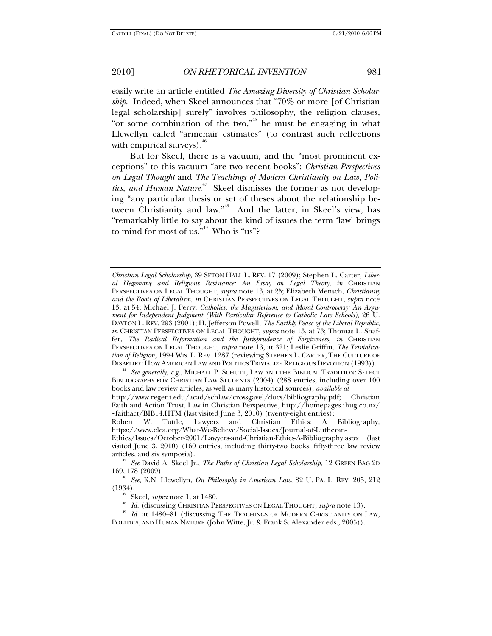easily write an article entitled *The Amazing Diversity of Christian Scholarship*. Indeed, when Skeel announces that "70% or more [of Christian legal scholarship] surely" involves philosophy, the religion clauses, "or some combination of the two,"<sup>45</sup> he must be engaging in what Llewellyn called "armchair estimates" (to contrast such reflections with empirical surveys). $46$ 

But for Skeel, there is a vacuum, and the "most prominent exceptions" to this vacuum "are two recent books": *Christian Perspectives on Legal Thought* and *The Teachings of Modern Christianity on Law, Politics, and Human Nature*. 47 Skeel dismisses the former as not developing "any particular thesis or set of theses about the relationship between Christianity and law."<sup>48</sup> And the latter, in Skeel's view, has "remarkably little to say about the kind of issues the term 'law' brings to mind for most of us." $49$  Who is "us"?

*Christian Legal Scholarship*, 39 SETON HALL L. REV. 17 (2009); Stephen L. Carter, *Liberal Hegemony and Religious Resistance: An Essay on Legal Theory*, *in* CHRISTIAN PERSPECTIVES ON LEGAL THOUGHT, *supra* note 13, at 25; Elizabeth Mensch, *Christianity and the Roots of Liberalism*, *in* CHRISTIAN PERSPECTIVES ON LEGAL THOUGHT, *supra* note 13, at 54; Michael J. Perry, *Catholics, the Magisterium, and Moral Controversy: An Argument for Independent Judgment (With Particular Reference to Catholic Law Schools)*, 26 U. DAYTON L. REV. 293 (2001); H. Jefferson Powell, *The Earthly Peace of the Liberal Republic*, *in* CHRISTIAN PERSPECTIVES ON LEGAL THOUGHT, *supra* note 13, at 73; Thomas L. Shaffer, *The Radical Reformation and the Jurisprudence of Forgiveness*, *in* CHRISTIAN PERSPECTIVES ON LEGAL THOUGHT, *supra* note 13, at 321; Leslie Griffin, *The Trivialization of Religion*, 1994 WIS. L. REV. 1287 (reviewing STEPHEN L. CARTER, THE CULTURE OF DISBELIEF: HOW AMERICAN LAW AND POLITICS TRIVIALIZE RELIGIOUS DEVOTION (1993)). 44 *See generally, e.g.*, MICHAEL P. SCHUTT, LAW AND THE BIBLICAL TRADITION: SELECT

BIBLIOGRAPHY FOR CHRISTIAN LAW STUDENTS (2004) (288 entries, including over 100 books and law review articles, as well as many historical sources), *available at*

http://www.regent.edu/acad/schlaw/crossgavel/docs/bibliography.pdf; Christian Faith and Action Trust, Law in Christian Perspective, http://homepages.ihug.co.nz/ ~faithact/BIB14.HTM (last visited June 3, 2010) (twenty-eight entries);

Robert W. Tuttle, Lawyers and Christian Ethics: A Bibliography, https://www.elca.org/What-We-Believe/Social-Issues/Journal-of-Lutheran-

Ethics/Issues/October-2001/Lawyers-and-Christian-Ethics-A-Bibliography.aspx (last visited June 3, 2010) (160 entries, including thirty-two books, fifty-three law review

articles, and six symposia).<br><sup>45</sup> See David A. Skeel Jr., *The Paths of Christian Legal Scholarship*, 12 GREEN BAG 2D<br>169, 178 (2009).

<sup>&</sup>lt;sup>46</sup> See, K.N. Llewellyn, *On Philosophy in American Law*, 82 U. PA. L. REV. 205, 212 (1934).

<sup>&</sup>lt;sup>47</sup> Skeel, *supra* note 1, at 1480.<br><sup>48</sup> Id. (discussing CHRISTIAN PERSPECTIVES ON LEGAL THOUGHT, *supra* note 13).<br><sup>49</sup> Id. at 1480–81 (discussing THE TEACHINGS OF MODERN CHRISTIANITY ON LAW, POLITICS, AND HUMAN NATURE (John Witte, Jr. & Frank S. Alexander eds., 2005)).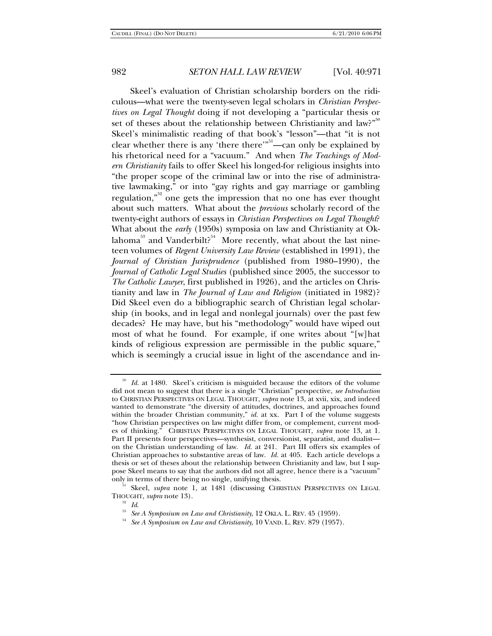Skeel's evaluation of Christian scholarship borders on the ridiculous—what were the twenty-seven legal scholars in *Christian Perspectives on Legal Thought* doing if not developing a "particular thesis or set of theses about the relationship between Christianity and law?"<sup>50</sup> Skeel's minimalistic reading of that book's "lesson"—that "it is not clear whether there is any 'there there'<sup>"51</sup>—can only be explained by his rhetorical need for a "vacuum." And when *The Teachings of Modern Christianity* fails to offer Skeel his longed-for religious insights into "the proper scope of the criminal law or into the rise of administrative lawmaking," or into "gay rights and gay marriage or gambling regulation,"<sup>52</sup> one gets the impression that no one has ever thought about such matters. What about the *previous* scholarly record of the twenty-eight authors of essays in *Christian Perspectives on Legal Thought*? What about the *early* (1950s) symposia on law and Christianity at Oklahoma<sup>53</sup> and Vanderbilt<sup>54</sup> More recently, what about the last nineteen volumes of *Regent University Law Review* (established in 1991), the *Journal of Christian Jurisprudence* (published from 1980–1990), the *Journal of Catholic Legal Studies* (published since 2005, the successor to *The Catholic Lawyer*, first published in 1926), and the articles on Christianity and law in *The Journal of Law and Religion* (initiated in 1982)? Did Skeel even do a bibliographic search of Christian legal scholarship (in books, and in legal and nonlegal journals) over the past few decades? He may have, but his "methodology" would have wiped out most of what he found. For example, if one writes about "[w]hat kinds of religious expression are permissible in the public square," which is seemingly a crucial issue in light of the ascendance and in-

<sup>&</sup>lt;sup>50</sup> Id. at 1480. Skeel's criticism is misguided because the editors of the volume did not mean to suggest that there is a single "Christian" perspective, *see Introduction* to CHRISTIAN PERSPECTIVES ON LEGAL THOUGHT, *supra* note 13, at xvii, xix, and indeed wanted to demonstrate "the diversity of attitudes, doctrines, and approaches found within the broader Christian community," *id.* at xx. Part I of the volume suggests "how Christian perspectives on law might differ from, or complement, current modes of thinking." CHRISTIAN PERSPECTIVES ON LEGAL THOUGHT, *supra* note 13, at 1. Part II presents four perspectives—synthesist, conversionist, separatist, and dualist on the Christian understanding of law. *Id.* at 241. Part III offers six examples of Christian approaches to substantive areas of law. *Id.* at 405. Each article develops a thesis or set of theses about the relationship between Christianity and law, but I suppose Skeel means to say that the authors did not all agree, hence there is a "vacuum"

<sup>&</sup>lt;sup>51</sup> Skeel, *supra* note 1, at 1481 (discussing CHRISTIAN PERSPECTIVES ON LEGAL THOUGHT, *supra* note 13).

<sup>&</sup>lt;sup>52</sup> Id. <sup>53</sup> See *A Symposium on Law and Christianity*, 12 OKLA. L. REV. 45 (1959).<br><sup>54</sup> See *A Symposium on Law and Christianity*, 10 VAND. L. REV. 879 (1957).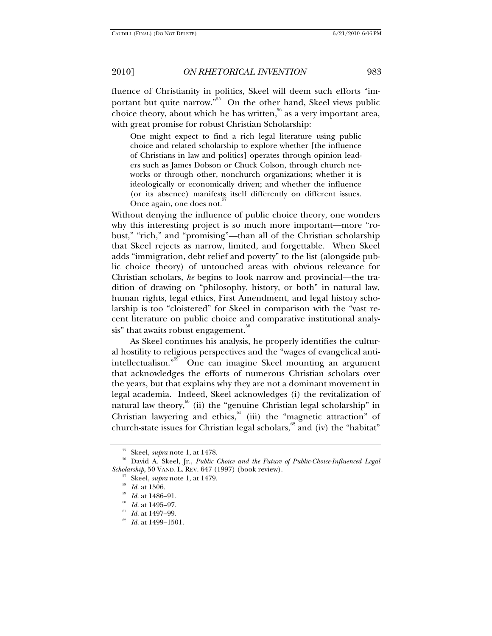fluence of Christianity in politics, Skeel will deem such efforts "important but quite narrow. $^{55}$  On the other hand, Skeel views public choice theory, about which he has written, $56$  as a very important area,

with great promise for robust Christian Scholarship:

One might expect to find a rich legal literature using public choice and related scholarship to explore whether [the influence of Christians in law and politics] operates through opinion leaders such as James Dobson or Chuck Colson, through church networks or through other, nonchurch organizations; whether it is ideologically or economically driven; and whether the influence (or its absence) manifests itself differently on different issues. Once again, one does not.

Without denying the influence of public choice theory, one wonders why this interesting project is so much more important—more "robust," "rich," and "promising"—than all of the Christian scholarship that Skeel rejects as narrow, limited, and forgettable. When Skeel adds "immigration, debt relief and poverty" to the list (alongside public choice theory) of untouched areas with obvious relevance for Christian scholars, *he* begins to look narrow and provincial—the tradition of drawing on "philosophy, history, or both" in natural law, human rights, legal ethics, First Amendment, and legal history scholarship is too "cloistered" for Skeel in comparison with the "vast recent literature on public choice and comparative institutional analysis" that awaits robust engagement.<sup>38</sup>

As Skeel continues his analysis, he properly identifies the cultural hostility to religious perspectives and the "wages of evangelical antiintellectualism."<sup>59</sup> One can imagine Skeel mounting an argument that acknowledges the efforts of numerous Christian scholars over the years, but that explains why they are not a dominant movement in legal academia. Indeed, Skeel acknowledges (i) the revitalization of natural law theory, $\frac{60}{1}$  (ii) the "genuine Christian legal scholarship" in Christian lawyering and ethics,  $\lim_{n \to \infty}$  (iii) the "magnetic attraction" of church-state issues for Christian legal scholars, $62$  and (iv) the "habitat"

<sup>&</sup>lt;sup>55</sup> Skeel, *supra* note 1, at 1478.<br><sup>56</sup> David A. Skeel, Jr., *Public Choice and the Future of Public-Choice-Influenced Legal* Scholarship, 50 VAND. L. REV. 647 (1997) (book review).<br>
<sup>57</sup> Skeel, *supra* note 1, at 1479.<br>
<sup>58</sup> Id. at 1506.<br>
<sup>59</sup> Id. at 1486–91.<br>
<sup>60</sup> Id. at 1495–97.<br>
<sup>61</sup> Id. at 1497–99.<br>
<sup>62</sup> Id. at 1499–1501.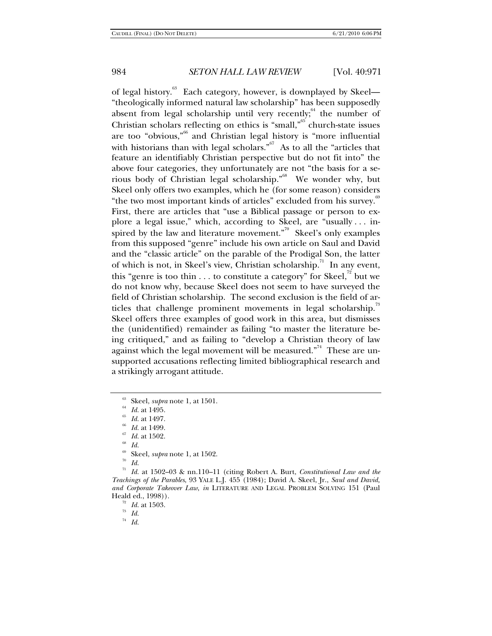of legal history.<sup>63</sup> Each category, however, is downplayed by Skeel— "theologically informed natural law scholarship" has been supposedly absent from legal scholarship until very recently; the number of Christian scholars reflecting on ethics is "small," $65$  church-state issues are too "obvious,"66 and Christian legal history is "more influential with historians than with legal scholars.<sup> $5^{67}$ </sup> As to all the "articles that feature an identifiably Christian perspective but do not fit into" the above four categories, they unfortunately are not "the basis for a serious body of Christian legal scholarship."<sup>68</sup> We wonder why, but Skeel only offers two examples, which he (for some reason) considers "the two most important kinds of articles" excluded from his survey.<sup>69</sup> First, there are articles that "use a Biblical passage or person to explore a legal issue," which, according to Skeel, are "usually . . . inspired by the law and literature movement."<sup>70</sup> Skeel's only examples from this supposed "genre" include his own article on Saul and David and the "classic article" on the parable of the Prodigal Son, the latter of which is not, in Skeel's view, Christian scholarship.<sup>71</sup> In any event, this "genre is too thin  $\ldots$  to constitute a category" for Skeel,<sup>72</sup> but we do not know why, because Skeel does not seem to have surveyed the field of Christian scholarship. The second exclusion is the field of articles that challenge prominent movements in legal scholarship.<sup>73</sup> Skeel offers three examples of good work in this area, but dismisses the (unidentified) remainder as failing "to master the literature being critiqued," and as failing to "develop a Christian theory of law against which the legal movement will be measured."<sup>74</sup> These are unsupported accusations reflecting limited bibliographical research and a strikingly arrogant attitude.

63 Skeel, *supra* note 1, at 1501.<br>
<sup>64</sup> *Id.* at 1495.<br>
<sup>65</sup> *Id.* at 1497.<br>
<sup>67</sup> *Id.* at 1502.<br>
<sup>67</sup> *Id.* at 1502.<br>
<sup>68</sup> *Id.* at 1502.

- <sup>69</sup> Skeel, *supra* note 1, at 1502.<br><sup>70</sup> *Id.*<br><sup>71</sup> *Id.* at 1509.03. 8: nn 110.11
- 

<sup>71</sup> *Id.* at 1502–03 & nn.110–11 (citing Robert A. Burt, *Constitutional Law and the Teachings of the Parables*, 93 YALE L.J. 455 (1984); David A. Skeel, Jr., *Saul and David, and Corporate Takeover Law*, *in* LITERATURE AND LEGAL PROBLEM SOLVING 151 (Paul Heald ed., 1998)).

<sup>72</sup> *Id.* at 1503. *Id. Id.* 

<sup>74</sup> *Id.*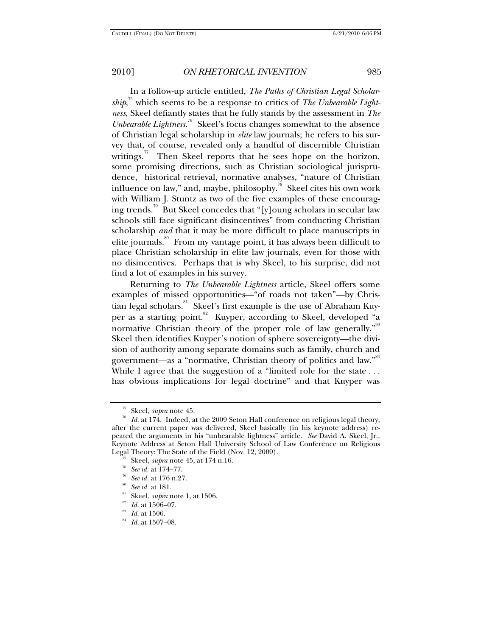In a follow-up article entitled, *The Paths of Christian Legal Scholarship*, 75 which seems to be a response to critics of *The Unbearable Lightness*, Skeel defiantly states that he fully stands by the assessment in *The Unbearable Lightness*. 76 Skeel's focus changes somewhat to the absence of Christian legal scholarship in *elite* law journals; he refers to his survey that, of course, revealed only a handful of discernible Christian writings. $\frac{7}{1}$  Then Skeel reports that he sees hope on the horizon, some promising directions, such as Christian sociological jurisprudence, historical retrieval, normative analyses, "nature of Christian influence on law," and, maybe, philosophy. $\frac{1}{2}$ <sup>8</sup> Skeel cites his own work with William J. Stuntz as two of the five examples of these encouraging trends.<sup>79</sup> But Skeel concedes that "[y]oung scholars in secular law schools still face significant disincentives" from conducting Christian scholarship *and* that it may be more difficult to place manuscripts in elite journals.<sup>80</sup> From my vantage point, it has always been difficult to place Christian scholarship in elite law journals, even for those with no disincentives. Perhaps that is why Skeel, to his surprise, did not find a lot of examples in his survey.

Returning to *The Unbearable Lightness* article, Skeel offers some examples of missed opportunities—"of roads not taken"—by Christian legal scholars.<sup>81</sup> Skeel's first example is the use of Abraham Kuyper as a starting point.<sup>82</sup> Kuyper, according to Skeel, developed "a normative Christian theory of the proper role of law generally."<sup>83</sup> Skeel then identifies Kuyper's notion of sphere sovereignty—the division of authority among separate domains such as family, church and government—as a "normative, Christian theory of politics and law."<sup>84</sup> While I agree that the suggestion of a "limited role for the state ... has obvious implications for legal doctrine" and that Kuyper was

<sup>75</sup> Skeel, *supra* note 45. 76 *Id.* at 174. Indeed, at the 2009 Seton Hall conference on religious legal theory, after the current paper was delivered, Skeel basically (in his keynote address) repeated the arguments in his "unbearable lightness" article. *See* David A. Skeel, Jr., Keynote Address at Seton Hall University School of Law Conference on Religious Legal Theory: The State of the Field (Nov. 12, 2009). Legal Theory: The State of the Field (Nov. 12, 2009).<br>
<sup>77</sup> Skeel, *supra* note 45, at 174 n.16.<br>
<sup>78</sup> See id. at 174–77.<br>
<sup>79</sup> See id. at 176 n.27.<br>
<sup>80</sup> See id. at 181.<br>
<sup>81</sup> Skeel, *supra* note 1, at 1506.<br>
<sup>82</sup> Id. at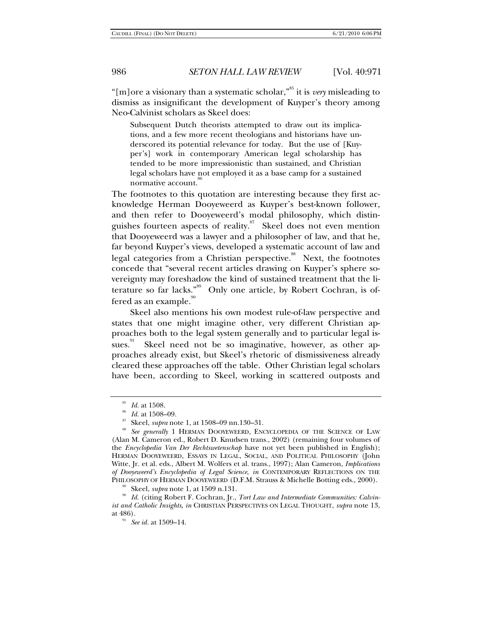"[m]ore a visionary than a systematic scholar,"85 it is *very* misleading to dismiss as insignificant the development of Kuyper's theory among Neo-Calvinist scholars as Skeel does:

Subsequent Dutch theorists attempted to draw out its implications, and a few more recent theologians and historians have underscored its potential relevance for today. But the use of [Kuyper's] work in contemporary American legal scholarship has tended to be more impressionistic than sustained, and Christian legal scholars have not employed it as a base camp for a sustained normative account.

The footnotes to this quotation are interesting because they first acknowledge Herman Dooyeweerd as Kuyper's best-known follower, and then refer to Dooyeweerd's modal philosophy, which distinguishes fourteen aspects of reality.<sup>87</sup> Skeel does not even mention that Dooyeweerd was a lawyer and a philosopher of law, and that he, far beyond Kuyper's views, developed a systematic account of law and legal categories from a Christian perspective.<sup>88</sup> Next, the footnotes concede that "several recent articles drawing on Kuyper's sphere sovereignty may foreshadow the kind of sustained treatment that the literature so far lacks."<sup>89</sup> Only one article, by Robert Cochran, is offered as an example. $90$ 

Skeel also mentions his own modest rule-of-law perspective and states that one might imagine other, very different Christian approaches both to the legal system generally and to particular legal issues. $\frac{91}{10}$  Skeel need not be so imaginative, however, as other approaches already exist, but Skeel's rhetoric of dismissiveness already cleared these approaches off the table. Other Christian legal scholars have been, according to Skeel, working in scattered outposts and

<sup>&</sup>lt;sup>85</sup> Id. at 1508.<br><sup>85</sup> Id. at 1508–09.<br><sup>87</sup> Skeel, *supra* note 1, at 1508–09 nn.130–31.<br><sup>88</sup> See generally 1 HERMAN DOOYEWEERD, ENCYCLOPEDIA OF THE SCIENCE OF LAW (Alan M. Cameron ed., Robert D. Knudsen trans., 2002) (remaining four volumes of the *Encyclopedia Van Der Rechtswetenschap* have not yet been published in English); HERMAN DOOYEWEERD, ESSAYS IN LEGAL, SOCIAL, AND POLITICAL PHILOSOPHY (John Witte, Jr. et al. eds., Albert M. Wolfers et al. trans., 1997); Alan Cameron, *Implications of Dooyeweerd's Encyclopedia of Legal Science*, *in* CONTEMPORARY REFLECTIONS ON THE PHILOSOPHY OF HERMAN DOOYEWEERD (D.F.M. Strauss & Michelle Botting eds., 2000).<br><sup>89</sup> Skeel, *supra* note 1, at 1509 n.131.<br><sup>90</sup> Id. (citing Robert F. Cochran, Jr., *Tort Law and Intermediate Communities: Calvin*-

*ist and Catholic Insights*, *in* CHRISTIAN PERSPECTIVES ON LEGAL THOUGHT, *supra* note 13, at 486). 91 *See id.* at 1509–14.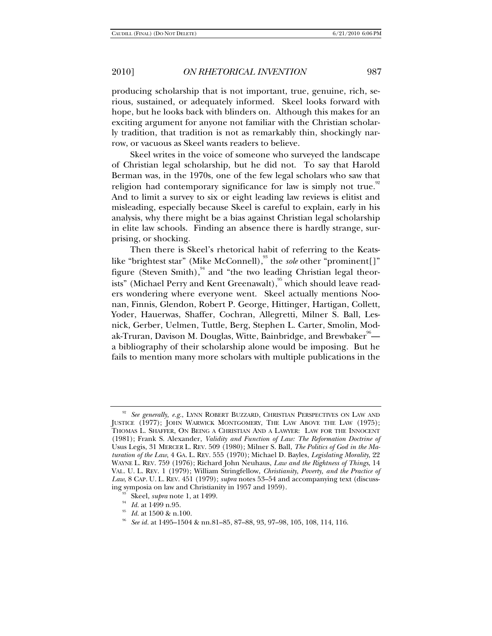producing scholarship that is not important, true, genuine, rich, serious, sustained, or adequately informed. Skeel looks forward with hope, but he looks back with blinders on. Although this makes for an exciting argument for anyone not familiar with the Christian scholarly tradition, that tradition is not as remarkably thin, shockingly narrow, or vacuous as Skeel wants readers to believe.

Skeel writes in the voice of someone who surveyed the landscape of Christian legal scholarship, but he did not. To say that Harold Berman was, in the 1970s, one of the few legal scholars who saw that religion had contemporary significance for law is simply not true.<sup>92</sup> And to limit a survey to six or eight leading law reviews is elitist and misleading, especially because Skeel is careful to explain, early in his analysis, why there might be a bias against Christian legal scholarship in elite law schools. Finding an absence there is hardly strange, surprising, or shocking.

Then there is Skeel's rhetorical habit of referring to the Keatslike "brightest star" (Mike McConnell),<sup>93</sup> the *sole* other "prominent[]" figure (Steven Smith), $94$  and "the two leading Christian legal theorists" (Michael Perry and Kent Greenawalt), <sup>95</sup> which should leave readers wondering where everyone went. Skeel actually mentions Noonan, Finnis, Glendon, Robert P. George, Hittinger, Hartigan, Collett, Yoder, Hauerwas, Shaffer, Cochran, Allegretti, Milner S. Ball, Lesnick, Gerber, Uelmen, Tuttle, Berg, Stephen L. Carter, Smolin, Modak-Truran, Davison M. Douglas, Witte, Bainbridge, and Brewbaker $^{\text{\tiny 96}}$ a bibliography of their scholarship alone would be imposing. But he fails to mention many more scholars with multiple publications in the

<sup>92</sup> *See generally, e.g.*, LYNN ROBERT BUZZARD, CHRISTIAN PERSPECTIVES ON LAW AND JUSTICE (1977); JOHN WARWICK MONTGOMERY, THE LAW ABOVE THE LAW (1975); THOMAS L. SHAFFER, ON BEING A CHRISTIAN AND A LAWYER: LAW FOR THE INNOCENT (1981); Frank S. Alexander, *Validity and Function of Law: The Reformation Doctrine of*  Usus Legis, 31 MERCER L. REV. 509 (1980); Milner S. Ball, *The Politics of God in the Maturation of the Law*, 4 GA. L. REV. 555 (1970); Michael D. Bayles, *Legislating Morality*, 22 WAYNE L. REV. 759 (1976); Richard John Neuhaus, *Law and the Rightness of Things*, 14 VAL. U. L. REV. 1 (1979); William Stringfellow, *Christianity, Poverty, and the Practice of Law*, 8 CAP. U. L. REV. 451 (1979); *supra* notes 53–54 and accompanying text (discuss-

ing symposia on law and Christianity in 1957 and 1959).<br><sup>93</sup> Skeel, *supra* note 1, at 1499.<br><sup>94</sup> Id. at 1499 n.95.<br><sup>95</sup> Id. at 1500 & n.100.<br><sup>96</sup> See id. at 1495–1504 & nn.81–85, 87–88, 93, 97–98, 105, 108, 114, 116.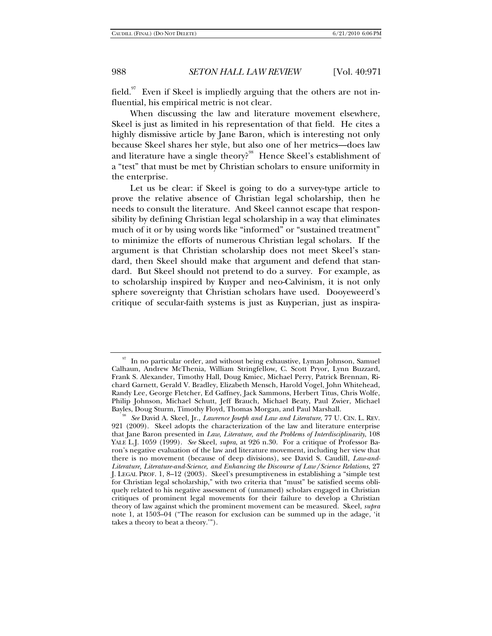field.<sup>97</sup> Even if Skeel is impliedly arguing that the others are not influential, his empirical metric is not clear.

When discussing the law and literature movement elsewhere, Skeel is just as limited in his representation of that field. He cites a highly dismissive article by Jane Baron, which is interesting not only because Skeel shares her style, but also one of her metrics—does law and literature have a single theory?<sup>98</sup> Hence Skeel's establishment of a "test" that must be met by Christian scholars to ensure uniformity in the enterprise.

Let us be clear: if Skeel is going to do a survey-type article to prove the relative absence of Christian legal scholarship, then he needs to consult the literature. And Skeel cannot escape that responsibility by defining Christian legal scholarship in a way that eliminates much of it or by using words like "informed" or "sustained treatment" to minimize the efforts of numerous Christian legal scholars. If the argument is that Christian scholarship does not meet Skeel's standard, then Skeel should make that argument and defend that standard. But Skeel should not pretend to do a survey. For example, as to scholarship inspired by Kuyper and neo-Calvinism, it is not only sphere sovereignty that Christian scholars have used. Dooyeweerd's critique of secular-faith systems is just as Kuyperian, just as inspira-

<sup>&</sup>lt;sup>97</sup> In no particular order, and without being exhaustive, Lyman Johnson, Samuel Calhaun, Andrew McThenia, William Stringfellow, C. Scott Pryor, Lynn Buzzard, Frank S. Alexander, Timothy Hall, Doug Kmiec, Michael Perry, Patrick Brennan, Richard Garnett, Gerald V. Bradley, Elizabeth Mensch, Harold Vogel, John Whitehead, Randy Lee, George Fletcher, Ed Gaffney, Jack Sammons, Herbert Titus, Chris Wolfe, Philip Johnson, Michael Schutt, Jeff Brauch, Michael Beaty, Paul Zwier, Michael

<sup>&</sup>lt;sup>98</sup> See David A. Skeel, Jr., *Lawrence Joseph and Law and Literature*, 77 U. CIN. L. REV. 921 (2009). Skeel adopts the characterization of the law and literature enterprise that Jane Baron presented in *Law, Literature, and the Problems of Interdisciplinarity*, 108 YALE L.J. 1059 (1999). *See* Skeel, *supra*, at 926 n.30. For a critique of Professor Baron's negative evaluation of the law and literature movement, including her view that there is no movement (because of deep divisions), see David S. Caudill, *Law-and-Literature, Literature-and-Science, and Enhancing the Discourse of Law/Science Relations*, 27 J. LEGAL PROF. 1, 8–12 (2003). Skeel's presumptiveness in establishing a "simple test for Christian legal scholarship," with two criteria that "must" be satisfied seems obliquely related to his negative assessment of (unnamed) scholars engaged in Christian critiques of prominent legal movements for their failure to develop a Christian theory of law against which the prominent movement can be measured. Skeel, *supra* note 1, at 1503–04 ("The reason for exclusion can be summed up in the adage, 'it takes a theory to beat a theory.'").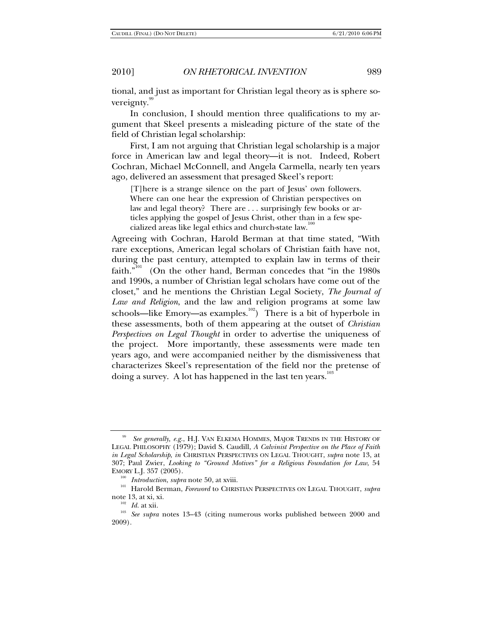tional, and just as important for Christian legal theory as is sphere sovereignty.

In conclusion, I should mention three qualifications to my argument that Skeel presents a misleading picture of the state of the field of Christian legal scholarship:

First, I am not arguing that Christian legal scholarship is a major force in American law and legal theory—it is not. Indeed, Robert Cochran, Michael McConnell, and Angela Carmella, nearly ten years ago, delivered an assessment that presaged Skeel's report:

[T]here is a strange silence on the part of Jesus' own followers. Where can one hear the expression of Christian perspectives on law and legal theory? There are . . . surprisingly few books or articles applying the gospel of Jesus Christ, other than in a few specialized areas like legal ethics and church-state law.<sup>1</sup>

Agreeing with Cochran, Harold Berman at that time stated, "With rare exceptions, American legal scholars of Christian faith have not, during the past century, attempted to explain law in terms of their faith."<sup>101</sup> (On the other hand, Berman concedes that "in the 1980s") and 1990s, a number of Christian legal scholars have come out of the closet," and he mentions the Christian Legal Society, *The Journal of Law and Religion*, and the law and religion programs at some law schools—like Emory—as examples.<sup>102</sup>) There is a bit of hyperbole in these assessments, both of them appearing at the outset of *Christian Perspectives on Legal Thought* in order to advertise the uniqueness of the project. More importantly, these assessments were made ten years ago, and were accompanied neither by the dismissiveness that characterizes Skeel's representation of the field nor the pretense of doing a survey. A lot has happened in the last ten years.<sup>103</sup>

See generally, e.g., H.J. VAN ELKEMA HOMMES, MAJOR TRENDS IN THE HISTORY OF LEGAL PHILOSOPHY (1979); David S. Caudill, *A Calvinist Perspective on the Place of Faith in Legal Scholarship*, *in* CHRISTIAN PERSPECTIVES ON LEGAL THOUGHT, *supra* note 13, at 307; Paul Zwier, *Looking to "Ground Motives" for a Religious Foundation for Law*, 54

<sup>&</sup>lt;sup>100</sup> Introduction, *supra* note 50, at xviii.<br><sup>101</sup> Harold Berman, *Foreword* to CHRISTIAN PERSPECTIVES ON LEGAL THOUGHT, *supra*<br>note 13, at xi, xi.

<sup>&</sup>lt;sup>102</sup> Id. at xii.<br><sup>103</sup> See supra notes 13–43 (citing numerous works published between 2000 and 2009).